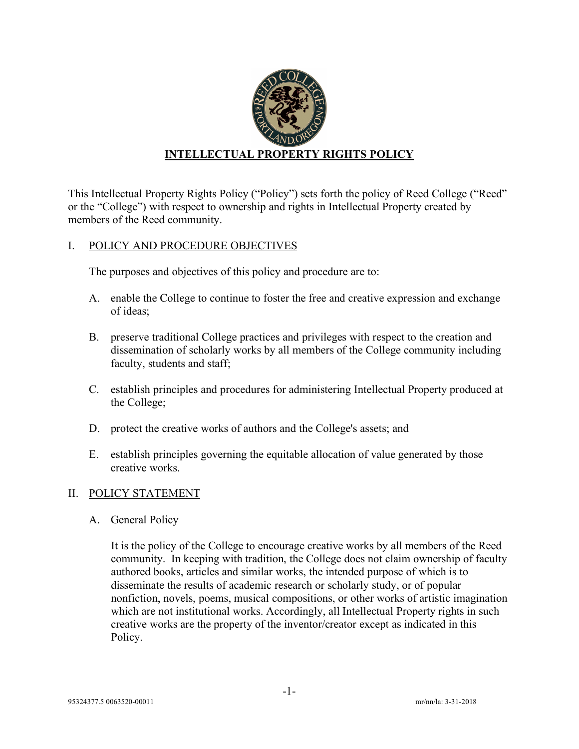

This Intellectual Property Rights Policy ("Policy") sets forth the policy of Reed College ("Reed" or the "College") with respect to ownership and rights in Intellectual Property created by members of the Reed community.

## I. POLICY AND PROCEDURE OBJECTIVES

The purposes and objectives of this policy and procedure are to:

- A. enable the College to continue to foster the free and creative expression and exchange of ideas;
- B. preserve traditional College practices and privileges with respect to the creation and dissemination of scholarly works by all members of the College community including faculty, students and staff;
- C. establish principles and procedures for administering Intellectual Property produced at the College;
- D. protect the creative works of authors and the College's assets; and
- E. establish principles governing the equitable allocation of value generated by those creative works.

## II. POLICY STATEMENT

A. General Policy

It is the policy of the College to encourage creative works by all members of the Reed community. In keeping with tradition, the College does not claim ownership of faculty authored books, articles and similar works, the intended purpose of which is to disseminate the results of academic research or scholarly study, or of popular nonfiction, novels, poems, musical compositions, or other works of artistic imagination which are not institutional works. Accordingly, all Intellectual Property rights in such creative works are the property of the inventor/creator except as indicated in this Policy.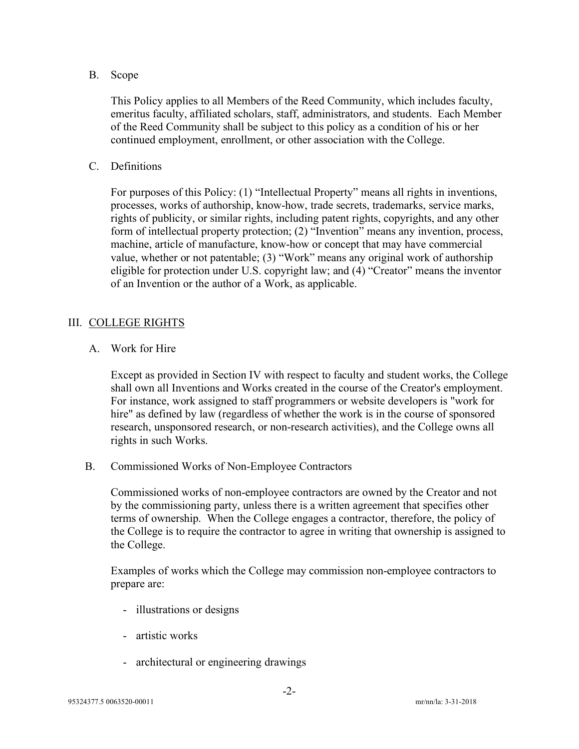## B. Scope

This Policy applies to all Members of the Reed Community, which includes faculty, emeritus faculty, affiliated scholars, staff, administrators, and students. Each Member of the Reed Community shall be subject to this policy as a condition of his or her continued employment, enrollment, or other association with the College.

C. Definitions

For purposes of this Policy: (1) "Intellectual Property" means all rights in inventions, processes, works of authorship, know-how, trade secrets, trademarks, service marks, rights of publicity, or similar rights, including patent rights, copyrights, and any other form of intellectual property protection; (2) "Invention" means any invention, process, machine, article of manufacture, know-how or concept that may have commercial value, whether or not patentable; (3) "Work" means any original work of authorship eligible for protection under U.S. copyright law; and (4) "Creator" means the inventor of an Invention or the author of a Work, as applicable.

## III. COLLEGE RIGHTS

A. Work for Hire

Except as provided in Section IV with respect to faculty and student works, the College shall own all Inventions and Works created in the course of the Creator's employment. For instance, work assigned to staff programmers or website developers is "work for hire" as defined by law (regardless of whether the work is in the course of sponsored research, unsponsored research, or non-research activities), and the College owns all rights in such Works.

B. Commissioned Works of Non-Employee Contractors

Commissioned works of non-employee contractors are owned by the Creator and not by the commissioning party, unless there is a written agreement that specifies other terms of ownership. When the College engages a contractor, therefore, the policy of the College is to require the contractor to agree in writing that ownership is assigned to the College.

Examples of works which the College may commission non-employee contractors to prepare are:

- illustrations or designs
- artistic works
- architectural or engineering drawings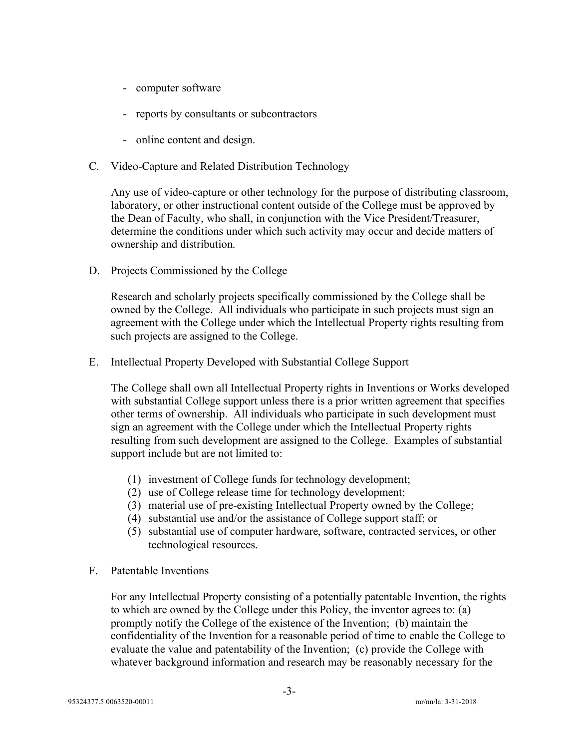- computer software
- reports by consultants or subcontractors
- online content and design.
- C. Video-Capture and Related Distribution Technology

Any use of video-capture or other technology for the purpose of distributing classroom, laboratory, or other instructional content outside of the College must be approved by the Dean of Faculty, who shall, in conjunction with the Vice President/Treasurer, determine the conditions under which such activity may occur and decide matters of ownership and distribution.

D. Projects Commissioned by the College

Research and scholarly projects specifically commissioned by the College shall be owned by the College. All individuals who participate in such projects must sign an agreement with the College under which the Intellectual Property rights resulting from such projects are assigned to the College.

E. Intellectual Property Developed with Substantial College Support

The College shall own all Intellectual Property rights in Inventions or Works developed with substantial College support unless there is a prior written agreement that specifies other terms of ownership. All individuals who participate in such development must sign an agreement with the College under which the Intellectual Property rights resulting from such development are assigned to the College. Examples of substantial support include but are not limited to:

- (1) investment of College funds for technology development;
- (2) use of College release time for technology development;
- (3) material use of pre-existing Intellectual Property owned by the College;
- (4) substantial use and/or the assistance of College support staff; or
- (5) substantial use of computer hardware, software, contracted services, or other technological resources.
- F. Patentable Inventions

For any Intellectual Property consisting of a potentially patentable Invention, the rights to which are owned by the College under this Policy, the inventor agrees to: (a) promptly notify the College of the existence of the Invention; (b) maintain the confidentiality of the Invention for a reasonable period of time to enable the College to evaluate the value and patentability of the Invention; (c) provide the College with whatever background information and research may be reasonably necessary for the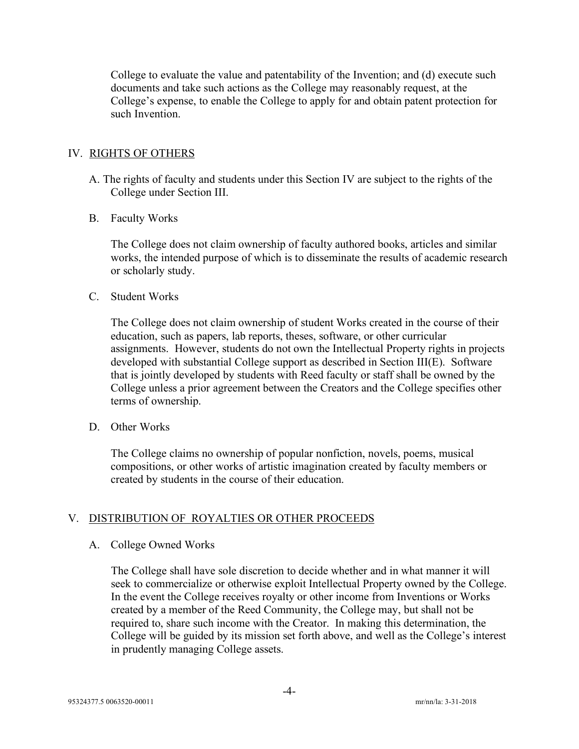College to evaluate the value and patentability of the Invention; and (d) execute such documents and take such actions as the College may reasonably request, at the College's expense, to enable the College to apply for and obtain patent protection for such Invention.

## IV. RIGHTS OF OTHERS

- A. The rights of faculty and students under this Section IV are subject to the rights of the College under Section III.
- B. Faculty Works

The College does not claim ownership of faculty authored books, articles and similar works, the intended purpose of which is to disseminate the results of academic research or scholarly study.

C. Student Works

The College does not claim ownership of student Works created in the course of their education, such as papers, lab reports, theses, software, or other curricular assignments. However, students do not own the Intellectual Property rights in projects developed with substantial College support as described in Section III(E). Software that is jointly developed by students with Reed faculty or staff shall be owned by the College unless a prior agreement between the Creators and the College specifies other terms of ownership.

D. Other Works

The College claims no ownership of popular nonfiction, novels, poems, musical compositions, or other works of artistic imagination created by faculty members or created by students in the course of their education.

# V. DISTRIBUTION OF ROYALTIES OR OTHER PROCEEDS

## A. College Owned Works

The College shall have sole discretion to decide whether and in what manner it will seek to commercialize or otherwise exploit Intellectual Property owned by the College. In the event the College receives royalty or other income from Inventions or Works created by a member of the Reed Community, the College may, but shall not be required to, share such income with the Creator. In making this determination, the College will be guided by its mission set forth above, and well as the College's interest in prudently managing College assets.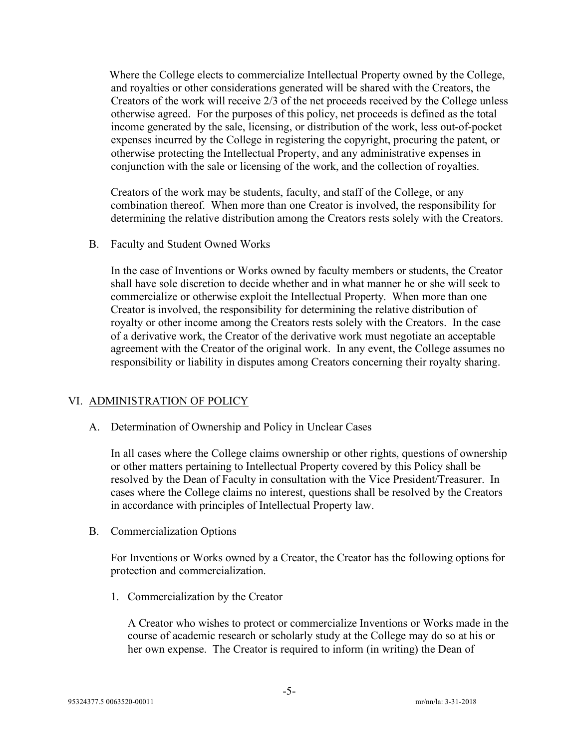Where the College elects to commercialize Intellectual Property owned by the College, and royalties or other considerations generated will be shared with the Creators, the Creators of the work will receive 2/3 of the net proceeds received by the College unless otherwise agreed. For the purposes of this policy, net proceeds is defined as the total income generated by the sale, licensing, or distribution of the work, less out-of-pocket expenses incurred by the College in registering the copyright, procuring the patent, or otherwise protecting the Intellectual Property, and any administrative expenses in conjunction with the sale or licensing of the work, and the collection of royalties.

Creators of the work may be students, faculty, and staff of the College, or any combination thereof. When more than one Creator is involved, the responsibility for determining the relative distribution among the Creators rests solely with the Creators.

B. Faculty and Student Owned Works

In the case of Inventions or Works owned by faculty members or students, the Creator shall have sole discretion to decide whether and in what manner he or she will seek to commercialize or otherwise exploit the Intellectual Property. When more than one Creator is involved, the responsibility for determining the relative distribution of royalty or other income among the Creators rests solely with the Creators. In the case of a derivative work, the Creator of the derivative work must negotiate an acceptable agreement with the Creator of the original work. In any event, the College assumes no responsibility or liability in disputes among Creators concerning their royalty sharing.

#### VI. ADMINISTRATION OF POLICY

A. Determination of Ownership and Policy in Unclear Cases

In all cases where the College claims ownership or other rights, questions of ownership or other matters pertaining to Intellectual Property covered by this Policy shall be resolved by the Dean of Faculty in consultation with the Vice President/Treasurer. In cases where the College claims no interest, questions shall be resolved by the Creators in accordance with principles of Intellectual Property law.

B. Commercialization Options

For Inventions or Works owned by a Creator, the Creator has the following options for protection and commercialization.

1. Commercialization by the Creator

A Creator who wishes to protect or commercialize Inventions or Works made in the course of academic research or scholarly study at the College may do so at his or her own expense. The Creator is required to inform (in writing) the Dean of